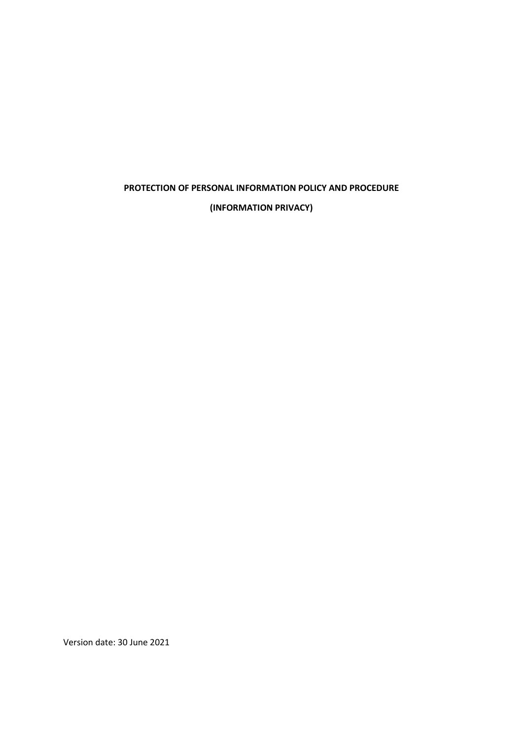# PROTECTION OF PERSONAL INFORMATION POLICY AND PROCEDURE

(INFORMATION PRIVACY)

Version date: 30 June 2021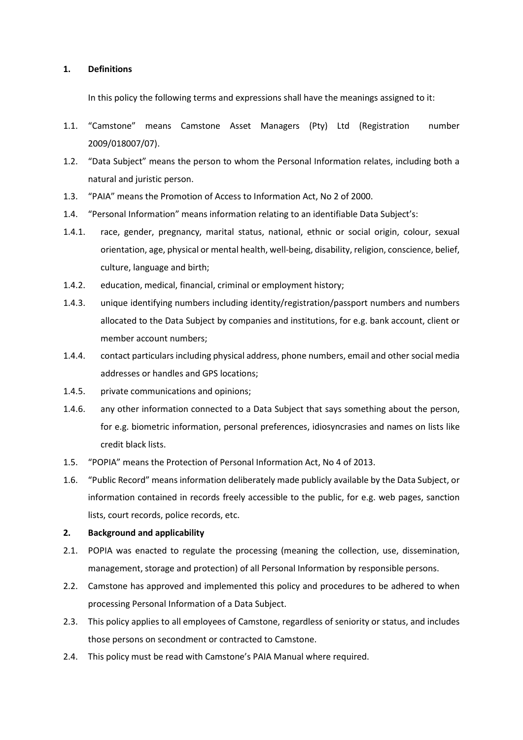#### 1. Definitions

In this policy the following terms and expressions shall have the meanings assigned to it:

- 1.1. "Camstone" means Camstone Asset Managers (Pty) Ltd (Registration number 2009/018007/07).
- 1.2. "Data Subject" means the person to whom the Personal Information relates, including both a natural and juristic person.
- 1.3. "PAIA" means the Promotion of Access to Information Act, No 2 of 2000.
- 1.4. "Personal Information" means information relating to an identifiable Data Subject's:
- 1.4.1. race, gender, pregnancy, marital status, national, ethnic or social origin, colour, sexual orientation, age, physical or mental health, well-being, disability, religion, conscience, belief, culture, language and birth;
- 1.4.2. education, medical, financial, criminal or employment history;
- 1.4.3. unique identifying numbers including identity/registration/passport numbers and numbers allocated to the Data Subject by companies and institutions, for e.g. bank account, client or member account numbers;
- 1.4.4. contact particulars including physical address, phone numbers, email and other social media addresses or handles and GPS locations;
- 1.4.5. private communications and opinions;
- 1.4.6. any other information connected to a Data Subject that says something about the person, for e.g. biometric information, personal preferences, idiosyncrasies and names on lists like credit black lists.
- 1.5. "POPIA" means the Protection of Personal Information Act, No 4 of 2013.
- 1.6. "Public Record" means information deliberately made publicly available by the Data Subject, or information contained in records freely accessible to the public, for e.g. web pages, sanction lists, court records, police records, etc.

#### 2. Background and applicability

- 2.1. POPIA was enacted to regulate the processing (meaning the collection, use, dissemination, management, storage and protection) of all Personal Information by responsible persons.
- 2.2. Camstone has approved and implemented this policy and procedures to be adhered to when processing Personal Information of a Data Subject.
- 2.3. This policy applies to all employees of Camstone, regardless of seniority or status, and includes those persons on secondment or contracted to Camstone.
- 2.4. This policy must be read with Camstone's PAIA Manual where required.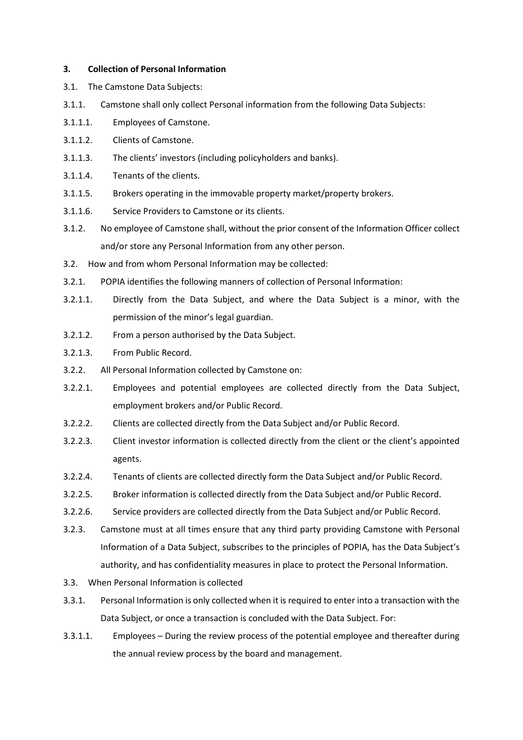#### 3. Collection of Personal Information

- 3.1. The Camstone Data Subjects:
- 3.1.1. Camstone shall only collect Personal information from the following Data Subjects:
- 3.1.1.1. Employees of Camstone.
- 3.1.1.2. Clients of Camstone.
- 3.1.1.3. The clients' investors (including policyholders and banks).
- 3.1.1.4. Tenants of the clients.
- 3.1.1.5. Brokers operating in the immovable property market/property brokers.
- 3.1.1.6. Service Providers to Camstone or its clients.
- 3.1.2. No employee of Camstone shall, without the prior consent of the Information Officer collect and/or store any Personal Information from any other person.
- 3.2. How and from whom Personal Information may be collected:
- 3.2.1. POPIA identifies the following manners of collection of Personal Information:
- 3.2.1.1. Directly from the Data Subject, and where the Data Subject is a minor, with the permission of the minor's legal guardian.
- 3.2.1.2. From a person authorised by the Data Subject.
- 3.2.1.3. From Public Record.
- 3.2.2. All Personal Information collected by Camstone on:
- 3.2.2.1. Employees and potential employees are collected directly from the Data Subject, employment brokers and/or Public Record.
- 3.2.2.2. Clients are collected directly from the Data Subject and/or Public Record.
- 3.2.2.3. Client investor information is collected directly from the client or the client's appointed agents.
- 3.2.2.4. Tenants of clients are collected directly form the Data Subject and/or Public Record.
- 3.2.2.5. Broker information is collected directly from the Data Subject and/or Public Record.
- 3.2.2.6. Service providers are collected directly from the Data Subject and/or Public Record.
- 3.2.3. Camstone must at all times ensure that any third party providing Camstone with Personal Information of a Data Subject, subscribes to the principles of POPIA, has the Data Subject's authority, and has confidentiality measures in place to protect the Personal Information.
- 3.3. When Personal Information is collected
- 3.3.1. Personal Information is only collected when it is required to enter into a transaction with the Data Subject, or once a transaction is concluded with the Data Subject. For:
- 3.3.1.1. Employees During the review process of the potential employee and thereafter during the annual review process by the board and management.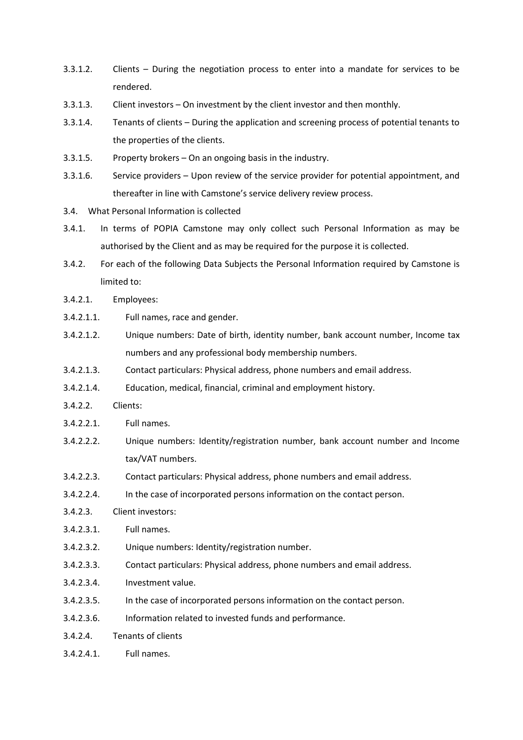- 3.3.1.2. Clients During the negotiation process to enter into a mandate for services to be rendered.
- 3.3.1.3. Client investors On investment by the client investor and then monthly.
- 3.3.1.4. Tenants of clients During the application and screening process of potential tenants to the properties of the clients.
- 3.3.1.5. Property brokers On an ongoing basis in the industry.
- 3.3.1.6. Service providers Upon review of the service provider for potential appointment, and thereafter in line with Camstone's service delivery review process.
- 3.4. What Personal Information is collected
- 3.4.1. In terms of POPIA Camstone may only collect such Personal Information as may be authorised by the Client and as may be required for the purpose it is collected.
- 3.4.2. For each of the following Data Subjects the Personal Information required by Camstone is limited to:
- 3.4.2.1. Employees:
- 3.4.2.1.1. Full names, race and gender.
- 3.4.2.1.2. Unique numbers: Date of birth, identity number, bank account number, Income tax numbers and any professional body membership numbers.
- 3.4.2.1.3. Contact particulars: Physical address, phone numbers and email address.
- 3.4.2.1.4. Education, medical, financial, criminal and employment history.
- 3.4.2.2. Clients:
- 3.4.2.2.1. Full names.
- 3.4.2.2.2. Unique numbers: Identity/registration number, bank account number and Income tax/VAT numbers.
- 3.4.2.2.3. Contact particulars: Physical address, phone numbers and email address.
- 3.4.2.2.4. In the case of incorporated persons information on the contact person.
- 3.4.2.3. Client investors:
- 3.4.2.3.1. Full names.
- 3.4.2.3.2. Unique numbers: Identity/registration number.
- 3.4.2.3.3. Contact particulars: Physical address, phone numbers and email address.
- 3.4.2.3.4. Investment value.
- 3.4.2.3.5. In the case of incorporated persons information on the contact person.
- 3.4.2.3.6. Information related to invested funds and performance.
- 3.4.2.4. Tenants of clients
- 3.4.2.4.1. Full names.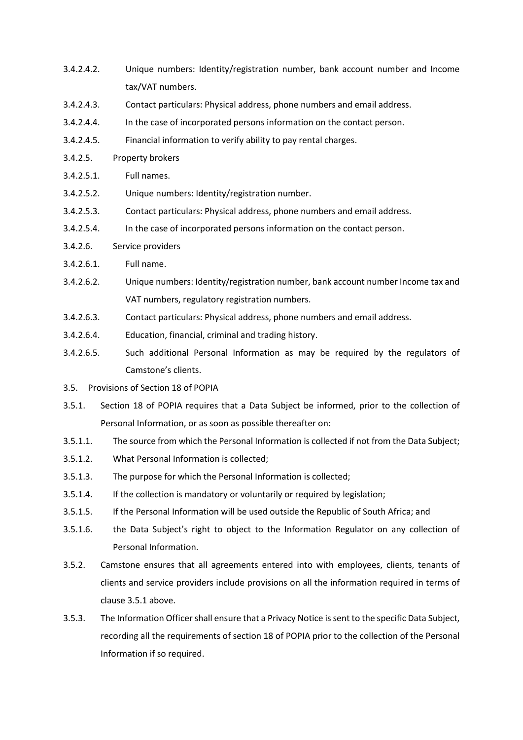- 3.4.2.4.2. Unique numbers: Identity/registration number, bank account number and Income tax/VAT numbers.
- 3.4.2.4.3. Contact particulars: Physical address, phone numbers and email address.
- 3.4.2.4.4. In the case of incorporated persons information on the contact person.
- 3.4.2.4.5. Financial information to verify ability to pay rental charges.
- 3.4.2.5. Property brokers
- 3.4.2.5.1. Full names.
- 3.4.2.5.2. Unique numbers: Identity/registration number.
- 3.4.2.5.3. Contact particulars: Physical address, phone numbers and email address.
- 3.4.2.5.4. In the case of incorporated persons information on the contact person.
- 3.4.2.6. Service providers
- 3.4.2.6.1. Full name.
- 3.4.2.6.2. Unique numbers: Identity/registration number, bank account number Income tax and VAT numbers, regulatory registration numbers.
- 3.4.2.6.3. Contact particulars: Physical address, phone numbers and email address.
- 3.4.2.6.4. Education, financial, criminal and trading history.
- 3.4.2.6.5. Such additional Personal Information as may be required by the regulators of Camstone's clients.
- 3.5. Provisions of Section 18 of POPIA
- 3.5.1. Section 18 of POPIA requires that a Data Subject be informed, prior to the collection of Personal Information, or as soon as possible thereafter on:
- 3.5.1.1. The source from which the Personal Information is collected if not from the Data Subject;
- 3.5.1.2. What Personal Information is collected;
- 3.5.1.3. The purpose for which the Personal Information is collected;
- 3.5.1.4. If the collection is mandatory or voluntarily or required by legislation;
- 3.5.1.5. If the Personal Information will be used outside the Republic of South Africa; and
- 3.5.1.6. the Data Subject's right to object to the Information Regulator on any collection of Personal Information.
- 3.5.2. Camstone ensures that all agreements entered into with employees, clients, tenants of clients and service providers include provisions on all the information required in terms of clause 3.5.1 above.
- 3.5.3. The Information Officer shall ensure that a Privacy Notice is sent to the specific Data Subject, recording all the requirements of section 18 of POPIA prior to the collection of the Personal Information if so required.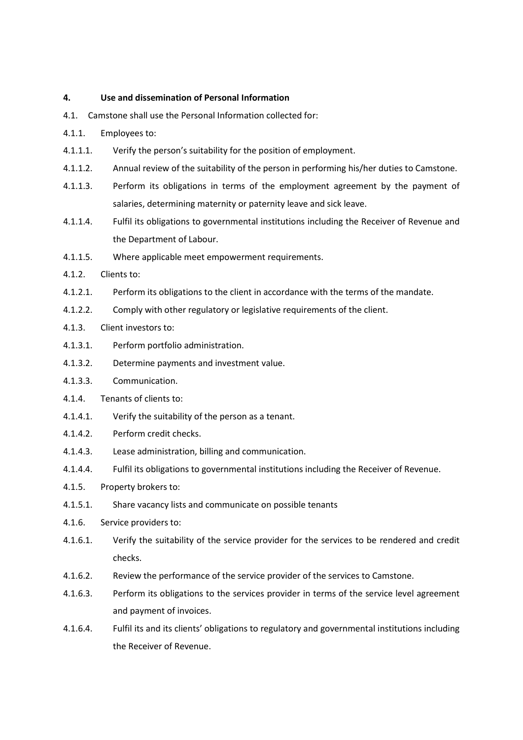#### 4. Use and dissemination of Personal Information

- 4.1. Camstone shall use the Personal Information collected for:
- 4.1.1. Employees to:
- 4.1.1.1. Verify the person's suitability for the position of employment.
- 4.1.1.2. Annual review of the suitability of the person in performing his/her duties to Camstone.
- 4.1.1.3. Perform its obligations in terms of the employment agreement by the payment of salaries, determining maternity or paternity leave and sick leave.
- 4.1.1.4. Fulfil its obligations to governmental institutions including the Receiver of Revenue and the Department of Labour.
- 4.1.1.5. Where applicable meet empowerment requirements.
- 4.1.2. Clients to:
- 4.1.2.1. Perform its obligations to the client in accordance with the terms of the mandate.
- 4.1.2.2. Comply with other regulatory or legislative requirements of the client.
- 4.1.3. Client investors to:
- 4.1.3.1. Perform portfolio administration.
- 4.1.3.2. Determine payments and investment value.
- 4.1.3.3. Communication.
- 4.1.4. Tenants of clients to:
- 4.1.4.1. Verify the suitability of the person as a tenant.
- 4.1.4.2. Perform credit checks.
- 4.1.4.3. Lease administration, billing and communication.
- 4.1.4.4. Fulfil its obligations to governmental institutions including the Receiver of Revenue.
- 4.1.5. Property brokers to:
- 4.1.5.1. Share vacancy lists and communicate on possible tenants
- 4.1.6. Service providers to:
- 4.1.6.1. Verify the suitability of the service provider for the services to be rendered and credit checks.
- 4.1.6.2. Review the performance of the service provider of the services to Camstone.
- 4.1.6.3. Perform its obligations to the services provider in terms of the service level agreement and payment of invoices.
- 4.1.6.4. Fulfil its and its clients' obligations to regulatory and governmental institutions including the Receiver of Revenue.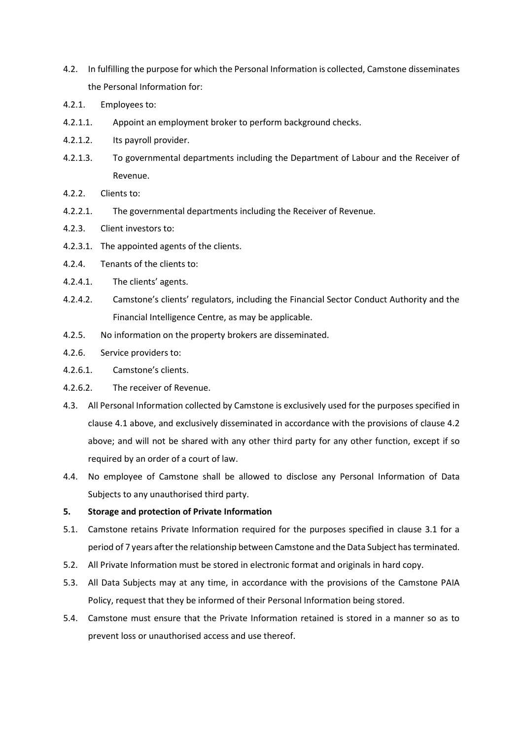- 4.2. In fulfilling the purpose for which the Personal Information is collected, Camstone disseminates the Personal Information for:
- 4.2.1. Employees to:
- 4.2.1.1. Appoint an employment broker to perform background checks.
- 4.2.1.2. Its payroll provider.
- 4.2.1.3. To governmental departments including the Department of Labour and the Receiver of Revenue.
- 4.2.2. Clients to:
- 4.2.2.1. The governmental departments including the Receiver of Revenue.
- 4.2.3. Client investors to:
- 4.2.3.1. The appointed agents of the clients.
- 4.2.4. Tenants of the clients to:
- 4.2.4.1. The clients' agents.
- 4.2.4.2. Camstone's clients' regulators, including the Financial Sector Conduct Authority and the Financial Intelligence Centre, as may be applicable.
- 4.2.5. No information on the property brokers are disseminated.
- 4.2.6. Service providers to:
- 4.2.6.1. Camstone's clients.
- 4.2.6.2. The receiver of Revenue.
- 4.3. All Personal Information collected by Camstone is exclusively used for the purposes specified in clause 4.1 above, and exclusively disseminated in accordance with the provisions of clause 4.2 above; and will not be shared with any other third party for any other function, except if so required by an order of a court of law.
- 4.4. No employee of Camstone shall be allowed to disclose any Personal Information of Data Subjects to any unauthorised third party.

#### 5. Storage and protection of Private Information

- 5.1. Camstone retains Private Information required for the purposes specified in clause 3.1 for a period of 7 years after the relationship between Camstone and the Data Subject has terminated.
- 5.2. All Private Information must be stored in electronic format and originals in hard copy.
- 5.3. All Data Subjects may at any time, in accordance with the provisions of the Camstone PAIA Policy, request that they be informed of their Personal Information being stored.
- 5.4. Camstone must ensure that the Private Information retained is stored in a manner so as to prevent loss or unauthorised access and use thereof.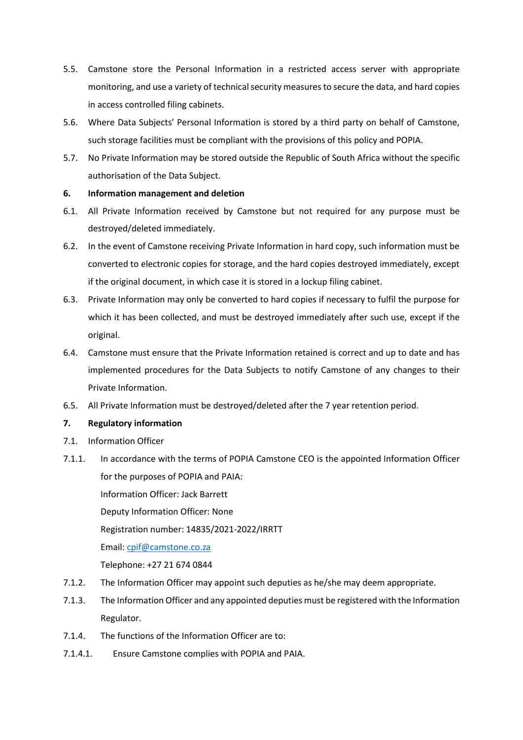- 5.5. Camstone store the Personal Information in a restricted access server with appropriate monitoring, and use a variety of technical security measures to secure the data, and hard copies in access controlled filing cabinets.
- 5.6. Where Data Subjects' Personal Information is stored by a third party on behalf of Camstone, such storage facilities must be compliant with the provisions of this policy and POPIA.
- 5.7. No Private Information may be stored outside the Republic of South Africa without the specific authorisation of the Data Subject.

## 6. Information management and deletion

- 6.1. All Private Information received by Camstone but not required for any purpose must be destroyed/deleted immediately.
- 6.2. In the event of Camstone receiving Private Information in hard copy, such information must be converted to electronic copies for storage, and the hard copies destroyed immediately, except if the original document, in which case it is stored in a lockup filing cabinet.
- 6.3. Private Information may only be converted to hard copies if necessary to fulfil the purpose for which it has been collected, and must be destroyed immediately after such use, except if the original.
- 6.4. Camstone must ensure that the Private Information retained is correct and up to date and has implemented procedures for the Data Subjects to notify Camstone of any changes to their Private Information.
- 6.5. All Private Information must be destroyed/deleted after the 7 year retention period.

# 7. Regulatory information

- 7.1. Information Officer
- 7.1.1. In accordance with the terms of POPIA Camstone CEO is the appointed Information Officer for the purposes of POPIA and PAIA: Information Officer: Jack Barrett Deputy Information Officer: None Registration number: 14835/2021-2022/IRRTT Email: cpif@camstone.co.za Telephone: +27 21 674 0844
- 7.1.2. The Information Officer may appoint such deputies as he/she may deem appropriate.
- 7.1.3. The Information Officer and any appointed deputies must be registered with the Information Regulator.
- 7.1.4. The functions of the Information Officer are to:
- 7.1.4.1. Ensure Camstone complies with POPIA and PAIA.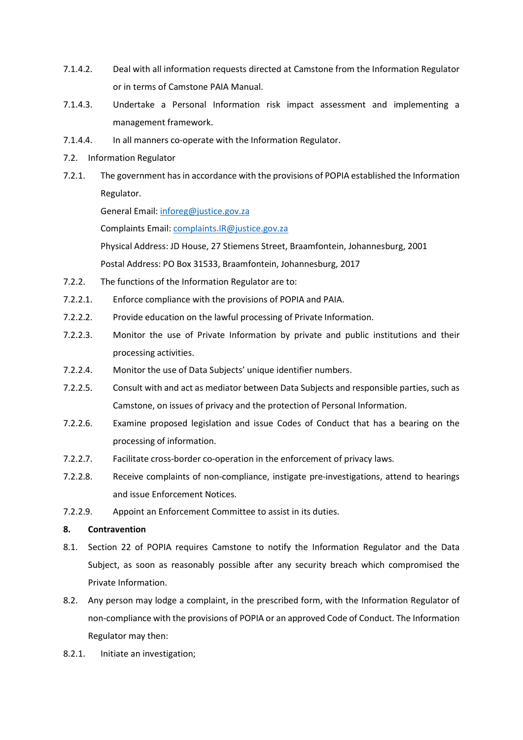- 7.1.4.2. Deal with all information requests directed at Camstone from the Information Regulator or in terms of Camstone PAIA Manual.
- 7.1.4.3. Undertake a Personal Information risk impact assessment and implementing a management framework.
- 7.1.4.4. In all manners co-operate with the Information Regulator.
- 7.2. Information Regulator
- 7.2.1. The government has in accordance with the provisions of POPIA established the Information Regulator.

General Email: inforeg@justice.gov.za

Complaints Email: complaints.IR@justice.gov.za

Physical Address: JD House, 27 Stiemens Street, Braamfontein, Johannesburg, 2001 Postal Address: PO Box 31533, Braamfontein, Johannesburg, 2017

- 7.2.2. The functions of the Information Regulator are to:
- 7.2.2.1. Enforce compliance with the provisions of POPIA and PAIA.
- 7.2.2.2. Provide education on the lawful processing of Private Information.
- 7.2.2.3. Monitor the use of Private Information by private and public institutions and their processing activities.
- 7.2.2.4. Monitor the use of Data Subjects' unique identifier numbers.
- 7.2.2.5. Consult with and act as mediator between Data Subjects and responsible parties, such as Camstone, on issues of privacy and the protection of Personal Information.
- 7.2.2.6. Examine proposed legislation and issue Codes of Conduct that has a bearing on the processing of information.
- 7.2.2.7. Facilitate cross-border co-operation in the enforcement of privacy laws.
- 7.2.2.8. Receive complaints of non-compliance, instigate pre-investigations, attend to hearings and issue Enforcement Notices.
- 7.2.2.9. Appoint an Enforcement Committee to assist in its duties.

## 8. Contravention

- 8.1. Section 22 of POPIA requires Camstone to notify the Information Regulator and the Data Subject, as soon as reasonably possible after any security breach which compromised the Private Information.
- 8.2. Any person may lodge a complaint, in the prescribed form, with the Information Regulator of non-compliance with the provisions of POPIA or an approved Code of Conduct. The Information Regulator may then:
- 8.2.1. Initiate an investigation;